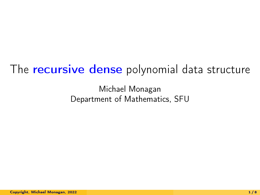# The **recursive dense** polynomial data structure

Michael Monagan Department of Mathematics, SFU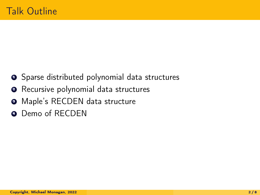- **•** Sparse distributed polynomial data structures
- **2** Recursive polynomial data structures
- <sup>9</sup> Maple's RECDEN data structure
- **•** Demo of RECDEN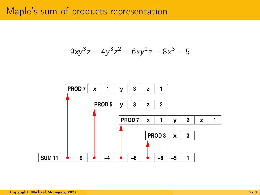# Maple's sum of products representation

$$
9xy^3z - 4y^3z^2 - 6xy^2z - 8x^3 - 5
$$

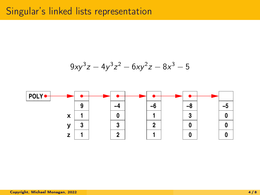## Singular's linked lists representation

$$
9xy^3z - 4y^3z^2 - 6xy^2z - 8x^3 - 5
$$

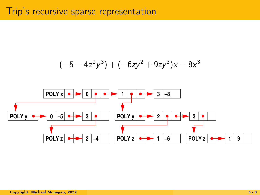

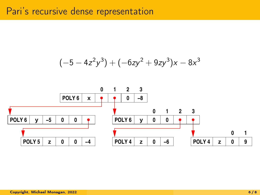### Pari's recursive dense representation

$$
(-5 - 4z2y3) + (-6zy2 + 9zy3)x - 8x3
$$

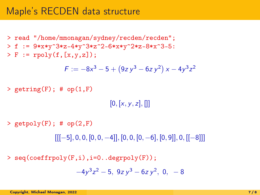> read "/home/mmonagan/sydney/recden/recden";  $> f := 9*x*y^3*z-4*y^3*z^2-6*x*y^2*z-8*x^3-5:$  $> F := \text{rpoly}(f, [x, y, z])$ ;

$$
F := -8x^3 - 5 + (9z y^3 - 6z y^2) x - 4y^3 z^2
$$

 $>$  getring(F); # op(1,F)

 $[0, [x, y, z], []$ 

 $>$  getpoly(F); # op(2,F)

 $[[[-5], 0, 0, [0, 0, -4]], [0, 0, [0, -6], [0, 9]], 0, [[-8]]]$ 

> seq(coeffrpoly(F,i),i=0..degrpoly(F));

$$
-4y^3z^2-5, \ 9z\,y^3-6z\,y^2, \ 0, \ -8
$$